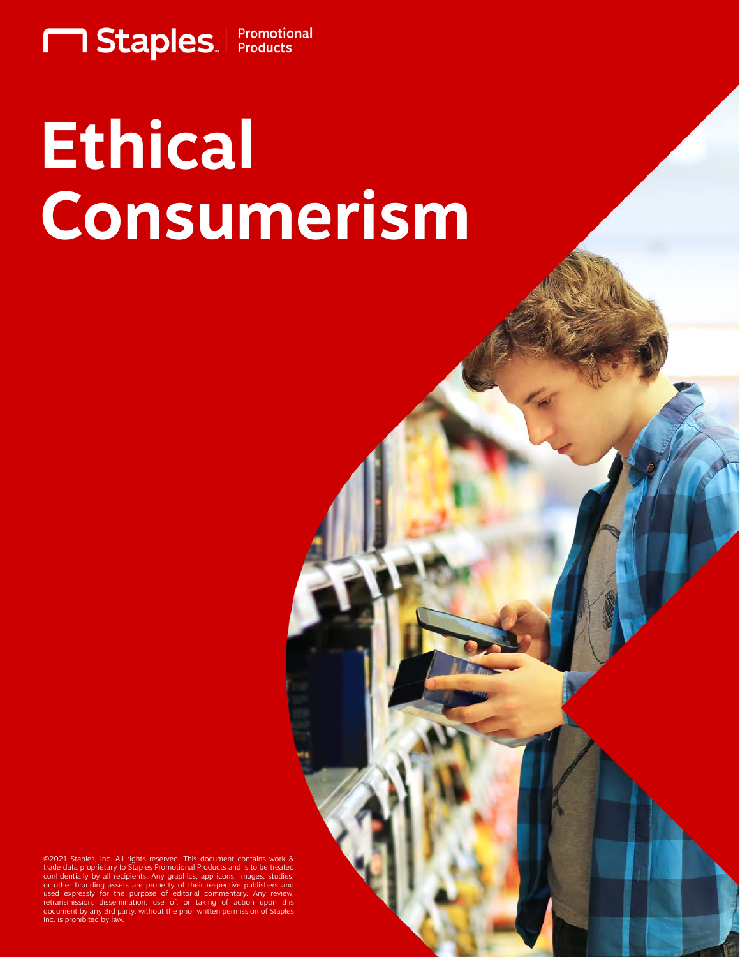

# **Ethical Consumerism**

©2021 Staples, Inc. All rights reserved. This document contains ata proprietary to Staples Promotional I ntially by all recipients. Any graphics, a or other branding assets are property of their respective publishers and<br>used expressly for the purpose of editorial commentary. Any review,<br>retransmission, dissemination, use of, or taking of action upon this document by any 3rd party, without the prior written permission of Staples Inc. is prohibited by law.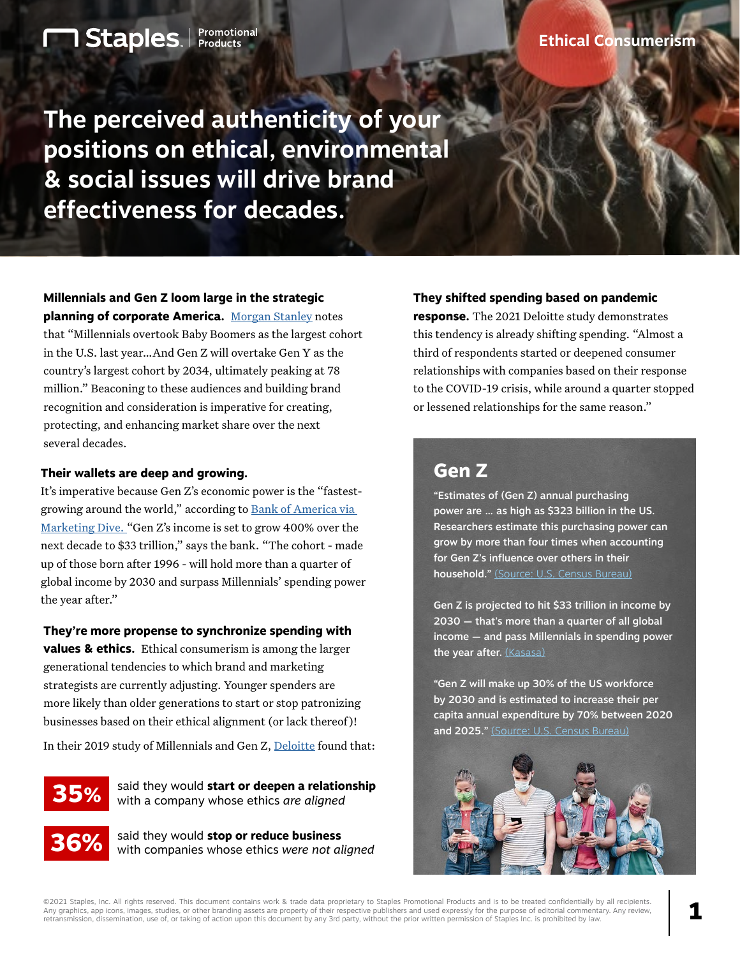**The perceived authenticity of your positions on ethical, environmental & social issues will drive brand effectiveness for decades.**

**Millennials and Gen Z loom large in the strategic planning of corporate America.** [Morgan Stanley](https://www.morganstanley.com/ideas/millennial-gen-z-economy) notes

**1 Staples** Promotional

that "Millennials overtook Baby Boomers as the largest cohort in the U.S. last year…And Gen Z will overtake Gen Y as the country's largest cohort by 2034, ultimately peaking at 78 million." Beaconing to these audiences and building brand recognition and consideration is imperative for creating, protecting, and enhancing market share over the next several decades.

#### **Their wallets are deep and growing.**

It's imperative because Gen Z's economic power is the "fastestgrowing around the world," according to [Bank of America via](https://markets.businessinsider.com/news/stocks/gen-z-economic-impact-outlook-spending-permanently-change-investing-bofa-2020-11#:~:text=Gen%20Z%27s%20earnings%20are%20set%20to%20hit%20%2433,are%20set%20to%20benefit%20from%20Gen%20Z%27s%20ascendance.)  [Marketing Dive. "](https://markets.businessinsider.com/news/stocks/gen-z-economic-impact-outlook-spending-permanently-change-investing-bofa-2020-11#:~:text=Gen%20Z%27s%20earnings%20are%20set%20to%20hit%20%2433,are%20set%20to%20benefit%20from%20Gen%20Z%27s%20ascendance.)Gen Z's income is set to grow 400% over the next decade to \$33 trillion," says the bank. "The cohort - made up of those born after 1996 - will hold more than a quarter of global income by 2030 and surpass Millennials' spending power the year after."

#### **They're more propense to synchronize spending with**

**values & ethics.** Ethical consumerism is among the larger generational tendencies to which brand and marketing strategists are currently adjusting. Younger spenders are more likely than older generations to start or stop patronizing businesses based on their ethical alignment (or lack thereof)!

In their 2019 study of Millennials and Gen Z, [Deloitte](https://www2.deloitte.com/content/dam/Deloitte/global/Documents/About-Deloitte/deloitte-2019-millennial-survey.pdf) found that:

**35%**

said they would **start or deepen a relationship** with a company whose ethics *are aligned*



said they would **stop or reduce business**  with companies whose ethics *were not aligned*

#### **They shifted spending based on pandemic**

**response.** The 2021 Deloitte study demonstrates this tendency is already shifting spending. "Almost a third of respondents started or deepened consumer relationships with companies based on their response to the COVID-19 crisis, while around a quarter stopped or lessened relationships for the same reason."

# **Gen Z**

"Estimates of (Gen Z) annual purchasing power are … as high as \$323 billion in the US. Researchers estimate this purchasing power can grow by more than four times when accounting for Gen Z's influence over others in their household." [\(Source: U.S. Census Bureau\)](https://www.bls.gov/spotlight/2016/a-look-at-the-future-of-the-us-labor-force-to-2060/home.htm)

Gen Z is projected to hit \$33 trillion in income by 2030 — that's more than a quarter of all global income — and pass Millennials in spending power the year after. [\(Kasasa\)](https://www.kasasa.com/exchange/articles/generations/gen-x-gen-y-gen-z)

"Gen Z will make up 30% of the US workforce by 2030 and is estimated to increase their per capita annual expenditure by 70% between 2020 and 2025." [\(Source: U.S. Census Bureau\)](https://www.bls.gov/spotlight/2016/a-look-at-the-future-of-the-us-labor-force-to-2060/home.htm)



©2021 Staples, Inc. All rights reserved. This document contains work & trade data proprietary to Staples Promotional Products and is to be treated confidentially by all recipients. Any graphics, app icons, images, studies, or other branding assets are property of their respective publishers and used expressly for the purpose of editorial commentary. Any review,<br>retransmission, dissemination, use of,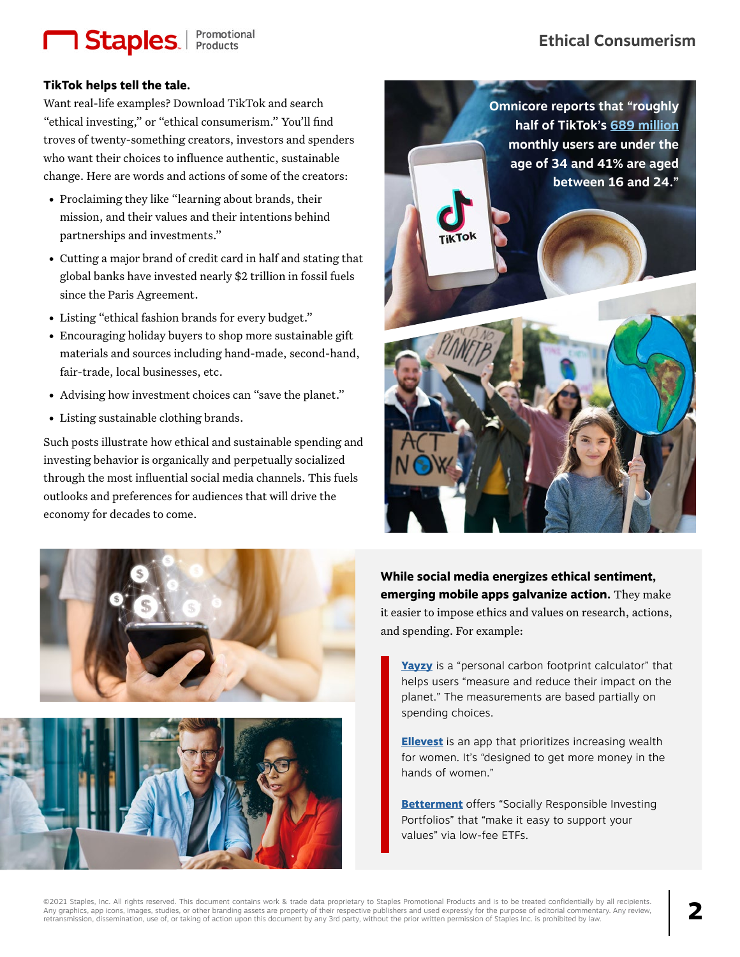# **1 Staples**. Promotional

## **TikTok helps tell the tale.**

Want real-life examples? Download TikTok and search "ethical investing," or "ethical consumerism." You'll find troves of twenty-something creators, investors and spenders who want their choices to influence authentic, sustainable change. Here are words and actions of some of the creators:

- Proclaiming they like "learning about brands, their mission, and their values and their intentions behind partnerships and investments."
- Cutting a major brand of credit card in half and stating that global banks have invested nearly \$2 trillion in fossil fuels since the Paris Agreement.
- Listing "ethical fashion brands for every budget."
- Encouraging holiday buyers to shop more sustainable gift materials and sources including hand-made, second-hand, fair-trade, local businesses, etc.
- Advising how investment choices can "save the planet."
- Listing sustainable clothing brands.

Such posts illustrate how ethical and sustainable spending and investing behavior is organically and perpetually socialized through the most influential social media channels. This fuels outlooks and preferences for audiences that will drive the economy for decades to come.







**While social media energizes ethical sentiment, emerging mobile apps galvanize action.** They make it easier to impose ethics and values on research, actions, and spending. For example:

**[Yayzy](https://www.yayzy.com/)** is a "personal carbon footprint calculator" that helps users "measure and reduce their impact on the planet." The measurements are based partially on spending choices.

**[Ellevest](https://www.ellevest.com/?invite_referral_source=general&msclkid=7a3e838ebbce13d6cadee2fe9394d83f)** is an app that prioritizes increasing wealth for women. It's "designed to get more money in the hands of women."

**[Betterment](https://www.betterment.com/socially-responsible-investing/)** offers "Socially Responsible Investing Portfolios" that "make it easy to support your values" via low-fee ETFs.

**Ethical Consumerism**

©2021 Staples, Inc. All rights reserved. This document contains work & trade data proprietary to Staples Promotional Products and is to be treated confidentially by all recipients. Any graphics, app icons, images, studies, or other branding assets are property of their respective publishers and used expressly for the purpose of editorial commentary. Any review,<br>retransmission, dissemination, use of,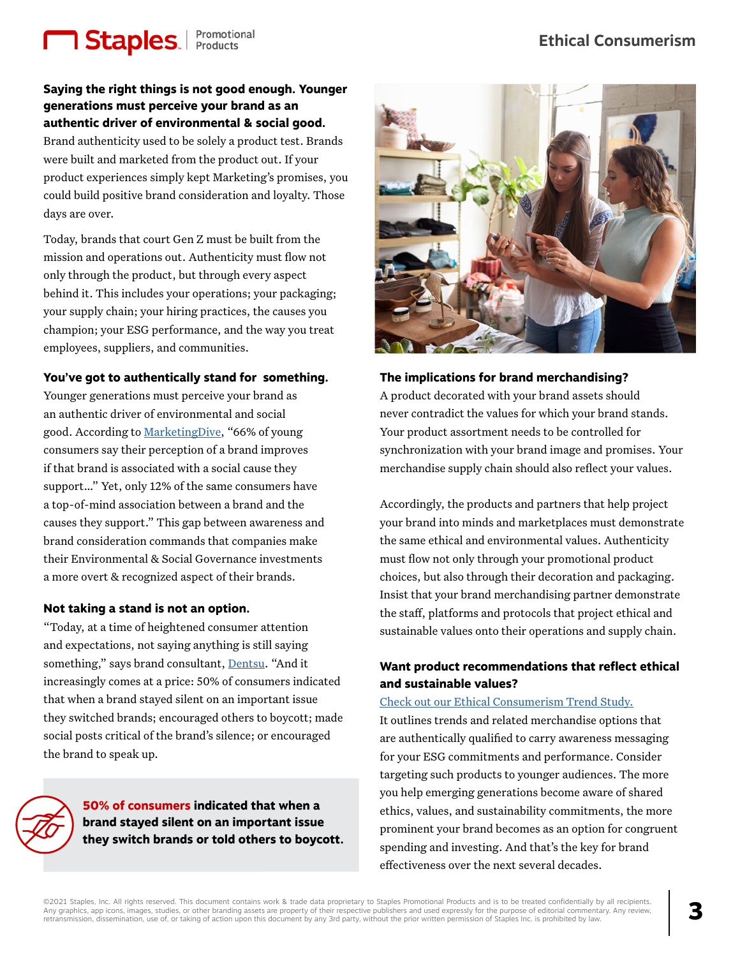# **1 Staples.** Promotional

**Saying the right things is not good enough. Younger generations must perceive your brand as an authentic driver of environmental & social good.** 

Brand authenticity used to be solely a product test. Brands were built and marketed from the product out. If your product experiences simply kept Marketing's promises, you could build positive brand consideration and loyalty. Those days are over.

Today, brands that court Gen Z must be built from the mission and operations out. Authenticity must flow not only through the product, but through every aspect behind it. This includes your operations; your packaging; your supply chain; your hiring practices, the causes you champion; your ESG performance, and the way you treat employees, suppliers, and communities.

#### **You've got to authentically stand for something.**

Younger generations must perceive your brand as an authentic driver of environmental and social good. According to [MarketingDive,](https://www.marketingdive.com/news/brands-cause-marketing-efforts-fail-to-break-through-with-gen-z-report-sa/554437/) "66% of young consumers say their perception of a brand improves if that brand is associated with a social cause they support…" Yet, only 12% of the same consumers have a top-of-mind association between a brand and the causes they support." This gap between awareness and brand consideration commands that companies make their Environmental & Social Governance investments a more overt & recognized aspect of their brands.

#### **Not taking a stand is not an option.**

"Today, at a time of heightened consumer attention and expectations, not saying anything is still saying something," says brand consultant, [Dentsu](https://brands.dentsu.com/2020-year-in-review/2021-marketing-outlook). "And it increasingly comes at a price: 50% of consumers indicated that when a brand stayed silent on an important issue they switched brands; encouraged others to boycott; made social posts critical of the brand's silence; or encouraged the brand to speak up.

> **50% of consumers indicated that when a brand stayed silent on an important issue they switch brands or told others to boycott.**



**The implications for brand merchandising?**  A product decorated with your brand assets should never contradict the values for which your brand stands.

Your product assortment needs to be controlled for synchronization with your brand image and promises. Your merchandise supply chain should also reflect your values.

Accordingly, the products and partners that help project your brand into minds and marketplaces must demonstrate the same ethical and environmental values. Authenticity must flow not only through your promotional product choices, but also through their decoration and packaging. Insist that your brand merchandising partner demonstrate the staff, platforms and protocols that project ethical and sustainable values onto their operations and supply chain.

### **Want product recommendations that reflect ethical and sustainable values?**

#### [Check out our Ethical Consumerism Trend Study.](https://www.staplespromo.com/blog-spp-trends-ethical-consumerism)

It outlines trends and related merchandise options that are authentically qualified to carry awareness messaging for your ESG commitments and performance. Consider targeting such products to younger audiences. The more you help emerging generations become aware of shared ethics, values, and sustainability commitments, the more prominent your brand becomes as an option for congruent spending and investing. And that's the key for brand effectiveness over the next several decades.